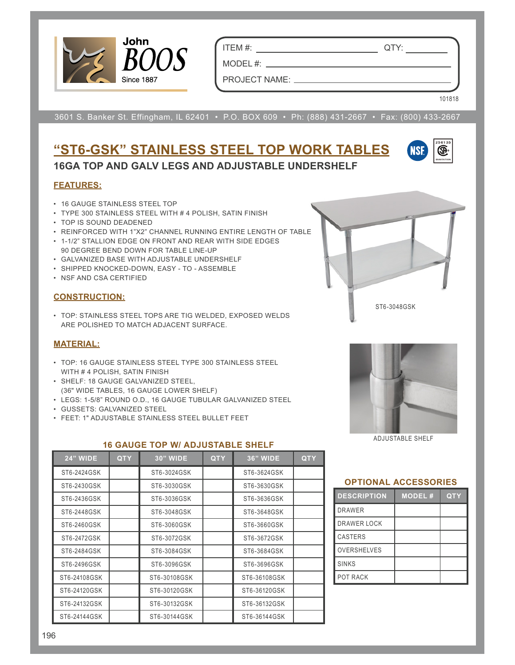

ITEM #: QTY:

MODEL #:

PROJECT NAME:

3601 S. Banker St. Effingham, IL 62401 • P.O. BOX 609 • Ph: (888) 431-2667 • Fax: (800) 433-2667

## **"ST6-GSK" STAINLESS STEEL TOP WORK TABLES 16GA TOP AND GALV LEGS AND ADJUSTABLE UNDERSHELF**



101818

#### **FEATURES:**

- 16 GAUGE STAINLESS STEEL TOP
- TYPE 300 STAINLESS STEEL WITH # 4 POLISH, SATIN FINISH
- TOP IS SOUND DEADENED
- REINFORCED WITH 1"X2" CHANNEL RUNNING ENTIRE LENGTH OF TABLE
- 1-1/2" STALLION EDGE ON FRONT AND REAR WITH SIDE EDGES 90 DEGREE BEND DOWN FOR TABLE LINE-UP
- GALVANIZED BASE WITH ADJUSTABLE UNDERSHELF
- SHIPPED KNOCKED-DOWN, EASY TO ASSEMBLE
- NSF AND CSA CERTIFIED

#### **CONSTRUCTION:**

• TOP: STAINLESS STEEL TOPS ARE TIG WELDED, EXPOSED WELDS ARE POLISHED TO MATCH ADJACENT SURFACE.

#### **MATERIAL:**

- TOP: 16 GAUGE STAINLESS STEEL TYPE 300 STAINLESS STEEL WITH # 4 POLISH, SATIN FINISH
- SHELF: 18 GAUGE GALVANIZED STEEL, (36" WIDE TABLES, 16 GAUGE LOWER SHELF)
- LEGS: 1-5/8" ROUND O.D., 16 GAUGE TUBULAR GALVANIZED STEEL
- GUSSETS: GALVANIZED STEEL
- FEET: 1" ADJUSTABLE STAINLESS STEEL BULLET FEET

#### **16 GAUGE TOP W/ ADJUSTABLE SHELF**

| <b>24" WIDE</b> | <b>QTY</b> | 30" WIDE     | <b>QTY</b> | <b>36" WIDE</b> | <b>QTY</b> |
|-----------------|------------|--------------|------------|-----------------|------------|
| ST6-2424GSK     |            | ST6-3024GSK  |            | ST6-3624GSK     |            |
| ST6-2430GSK     |            | ST6-3030GSK  |            | ST6-3630GSK     |            |
| ST6-2436GSK     |            | ST6-3036GSK  |            | ST6-3636GSK     |            |
| ST6-2448GSK     |            | ST6-3048GSK  |            | ST6-3648GSK     |            |
| ST6-2460GSK     |            | ST6-3060GSK  |            | ST6-3660GSK     |            |
| ST6-2472GSK     |            | ST6-3072GSK  |            | ST6-3672GSK     |            |
| ST6-2484GSK     |            | ST6-3084GSK  |            | ST6-3684GSK     |            |
| ST6-2496GSK     |            | ST6-3096GSK  |            | ST6-3696GSK     |            |
| ST6-24108GSK    |            | ST6-30108GSK |            | ST6-36108GSK    |            |
| ST6-24120GSK    |            | ST6-30120GSK |            | ST6-36120GSK    |            |
| ST6-24132GSK    |            | ST6-30132GSK |            | ST6-36132GSK    |            |
| ST6-24144GSK    |            | ST6-30144GSK |            | ST6-36144GSK    |            |





ADJUSTABLE SHELF

#### **OPTIONAL ACCESSORIES**

| <b>DESCRIPTION</b> | <b>MODEL#</b> | QTY |
|--------------------|---------------|-----|
| <b>DRAWER</b>      |               |     |
| DRAWER LOCK        |               |     |
| <b>CASTERS</b>     |               |     |
| <b>OVERSHELVES</b> |               |     |
| <b>SINKS</b>       |               |     |
| <b>POT RACK</b>    |               |     |